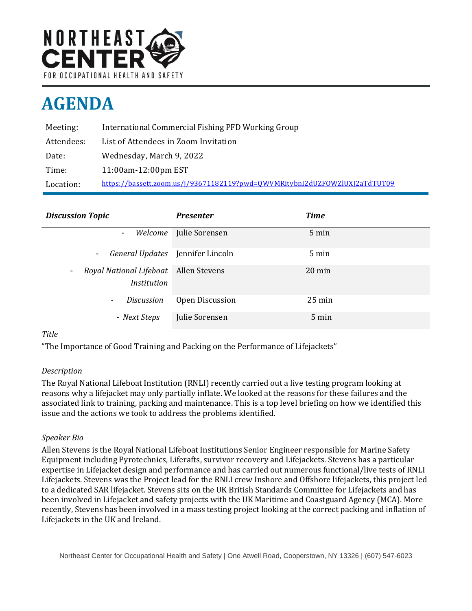

# **AGENDA**

| Meeting:   | International Commercial Fishing PFD Working Group                         |
|------------|----------------------------------------------------------------------------|
| Attendees: | List of Attendees in Zoom Invitation                                       |
| Date:      | Wednesday, March 9, 2022                                                   |
| Time:      | 11:00am-12:00pm EST                                                        |
| Location:  | https://bassett.zoom.us/j/93671182119?pwd=0WVMRitybnI2dUZF0WZlUXJ2aTdTUT09 |

| <b>Discussion Topic</b>                                                   | <b>Presenter</b>         | <b>Time</b>      |
|---------------------------------------------------------------------------|--------------------------|------------------|
| $\blacksquare$                                                            | Welcome   Julie Sorensen | 5 min            |
| General Updates<br>$\sim$                                                 | Jennifer Lincoln         | 5 min            |
| Royal National Lifeboat<br>$\overline{\phantom{a}}$<br><b>Institution</b> | Allen Stevens            | $20 \text{ min}$ |
| <b>Discussion</b><br>$\overline{\phantom{a}}$                             | Open Discussion          | $25 \text{ min}$ |
| - Next Steps                                                              | Julie Sorensen           | 5 min            |

## *Title*

"The Importance of Good Training and Packing on the Performance of Lifejackets"

### *Description*

The Royal National Lifeboat Institution (RNLI) recently carried out a live testing program looking at reasons why a lifejacket may only partially inflate. We looked at the reasons for these failures and the associated link to training, packing and maintenance. This is a top level briefing on how we identified this issue and the actions we took to address the problems identified.

### *Speaker Bio*

Allen Stevens is the Royal National Lifeboat Institutions Senior Engineer responsible for Marine Safety Equipment including Pyrotechnics, Liferafts, survivor recovery and Lifejackets. Stevens has a particular expertise in Lifejacket design and performance and has carried out numerous functional/live tests of RNLI Lifejackets. Stevens was the Project lead for the RNLI crew Inshore and Offshore lifejackets, this project led to a dedicated SAR lifejacket. Stevens sits on the UK British Standards Committee for Lifejackets and has been involved in Lifejacket and safety projects with the UK Maritime and Coastguard Agency (MCA). More recently, Stevens has been involved in a mass testing project looking at the correct packing and inflation of Lifejackets in the UK and Ireland.